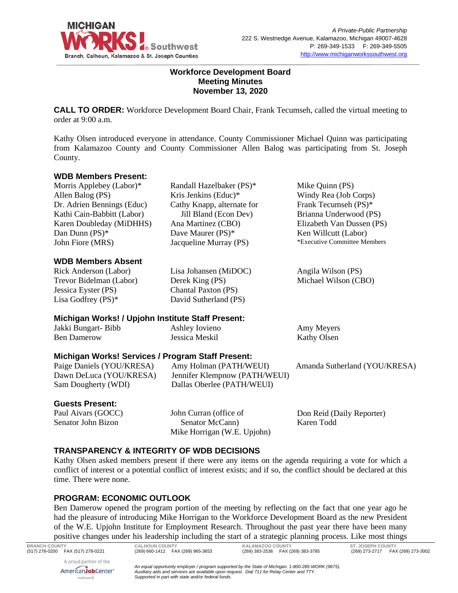

#### **Workforce Development Board Meeting Minutes November 13, 2020**

**CALL TO ORDER:** Workforce Development Board Chair, Frank Tecumseh, called the virtual meeting to order at 9:00 a.m.

Kathy Olsen introduced everyone in attendance. County Commissioner Michael Quinn was participating from Kalamazoo County and County Commissioner Allen Balog was participating from St. Joseph County.

#### **WDB Members Present:**

Morris Applebey (Labor)\* Allen Balog (PS) Dr. Adrien Bennings (Educ) Kathi Cain-Babbitt (Labor) Karen Doubleday (MiDHHS) Dan Dunn (PS)\* John Fiore (MRS)

#### **WDB Members Absent**

Rick Anderson (Labor) Trevor Bidelman (Labor) Jessica Eyster (PS) Lisa Godfrey (PS)\*

Randall Hazelbaker (PS)\* Kris Jenkins (Educ)\* Cathy Knapp, alternate for Jill Bland (Econ Dev) Ana Martinez (CBO) Dave Maurer (PS)\* Jacqueline Murray (PS)

Lisa Johansen (MiDOC)

Mike Quinn (PS) Windy Rea (Job Corps) Frank Tecumseh (PS)\* Brianna Underwood (PS) Elizabeth Van Dussen (PS) Ken Willcutt (Labor) \*Executive Committee Members

Angila Wilson (PS) Michael Wilson (CBO)

# **Michigan Works! / Upjohn Institute Staff Present:**

| Jakki Bungart-Bibb | Ashley Iovieno | Amy Meyers         |
|--------------------|----------------|--------------------|
| <b>Ben Damerow</b> | Jessica Meskil | <b>Kathy Olsen</b> |

Derek King (PS) Chantal Paxton (PS) David Sutherland (PS)

# **Michigan Works! Services / Program Staff Present:**

Paige Daniels (YOU/KRESA) Dawn DeLuca (YOU/KRESA) Sam Dougherty (WDI)

Amy Holman (PATH/WEUI) Jennifer Klempnow (PATH/WEUI) Dallas Oberlee (PATH/WEUI)

Amanda Sutherland (YOU/KRESA)

#### **Guests Present:**

Paul Aivars (GOCC) Senator John Bizon

John Curran (office of Senator McCann) Mike Horrigan (W.E. Upjohn) Don Reid (Daily Reporter) Karen Todd

# **TRANSPARENCY & INTEGRITY OF WDB DECISIONS**

Kathy Olsen asked members present if there were any items on the agenda requiring a vote for which a conflict of interest or a potential conflict of interest exists; and if so, the conflict should be declared at this time. There were none.

# **PROGRAM: ECONOMIC OUTLOOK**

Ben Damerow opened the program portion of the meeting by reflecting on the fact that one year ago he had the pleasure of introducing Mike Horrigan to the Workforce Development Board as the new President of the W.E. Upjohn Institute for Employment Research. Throughout the past year there have been many positive changes under his leadership including the start of a strategic planning process. Like most things

A proud partner of the AmericanJobCenter\* network

(269) 660-1412 FAX (269) 965-3653

**BRANCH COUNTY CALHOUN COUNTY KALAMAZOO COUNTY ST. JOSEPH COUNTY**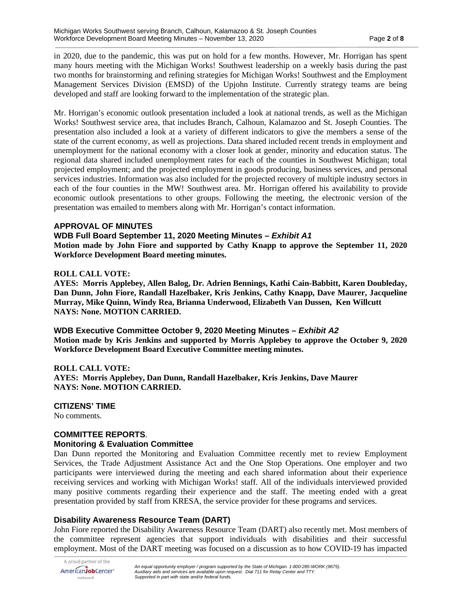in 2020, due to the pandemic, this was put on hold for a few months. However, Mr. Horrigan has spent many hours meeting with the Michigan Works! Southwest leadership on a weekly basis during the past two months for brainstorming and refining strategies for Michigan Works! Southwest and the Employment Management Services Division (EMSD) of the Upjohn Institute. Currently strategy teams are being developed and staff are looking forward to the implementation of the strategic plan.

Mr. Horrigan's economic outlook presentation included a look at national trends, as well as the Michigan Works! Southwest service area, that includes Branch, Calhoun, Kalamazoo and St. Joseph Counties. The presentation also included a look at a variety of different indicators to give the members a sense of the state of the current economy, as well as projections. Data shared included recent trends in employment and unemployment for the national economy with a closer look at gender, minority and education status. The regional data shared included unemployment rates for each of the counties in Southwest Michigan; total projected employment; and the projected employment in goods producing, business services, and personal services industries. Information was also included for the projected recovery of multiple industry sectors in each of the four counties in the MW! Southwest area. Mr. Horrigan offered his availability to provide economic outlook presentations to other groups. Following the meeting, the electronic version of the presentation was emailed to members along with Mr. Horrigan's contact information.

#### **APPROVAL OF MINUTES**

#### **WDB Full Board September 11, 2020 Meeting Minutes –** *Exhibit A1*

**Motion made by John Fiore and supported by Cathy Knapp to approve the September 11, 2020 Workforce Development Board meeting minutes.** 

#### **ROLL CALL VOTE:**

**AYES: Morris Applebey, Allen Balog, Dr. Adrien Bennings, Kathi Cain-Babbitt, Karen Doubleday, Dan Dunn, John Fiore, Randall Hazelbaker, Kris Jenkins, Cathy Knapp, Dave Maurer, Jacqueline Murray, Mike Quinn, Windy Rea, Brianna Underwood, Elizabeth Van Dussen, Ken Willcutt NAYS: None. MOTION CARRIED.**

**WDB Executive Committee October 9, 2020 Meeting Minutes –** *Exhibit A2* **Motion made by Kris Jenkins and supported by Morris Applebey to approve the October 9, 2020 Workforce Development Board Executive Committee meeting minutes.**

#### **ROLL CALL VOTE:**

**AYES: Morris Applebey, Dan Dunn, Randall Hazelbaker, Kris Jenkins, Dave Maurer NAYS: None. MOTION CARRIED.**

#### **CITIZENS' TIME**

No comments.

#### **COMMITTEE REPORTS**. **Monitoring & Evaluation Committee**

Dan Dunn reported the Monitoring and Evaluation Committee recently met to review Employment Services, the Trade Adjustment Assistance Act and the One Stop Operations. One employer and two participants were interviewed during the meeting and each shared information about their experience receiving services and working with Michigan Works! staff. All of the individuals interviewed provided many positive comments regarding their experience and the staff. The meeting ended with a great presentation provided by staff from KRESA, the service provider for these programs and services.

# **Disability Awareness Resource Team (DART)**

John Fiore reported the Disability Awareness Resource Team (DART) also recently met. Most members of the committee represent agencies that support individuals with disabilities and their successful employment. Most of the DART meeting was focused on a discussion as to how COVID-19 has impacted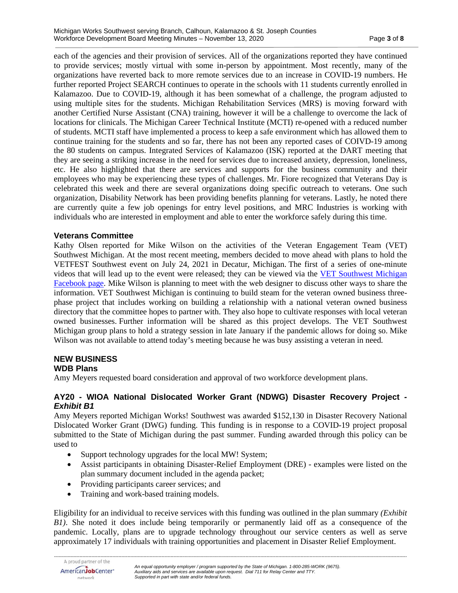each of the agencies and their provision of services. All of the organizations reported they have continued to provide services; mostly virtual with some in-person by appointment. Most recently, many of the organizations have reverted back to more remote services due to an increase in COVID-19 numbers. He further reported Project SEARCH continues to operate in the schools with 11 students currently enrolled in Kalamazoo. Due to COVID-19, although it has been somewhat of a challenge, the program adjusted to using multiple sites for the students. Michigan Rehabilitation Services (MRS) is moving forward with another Certified Nurse Assistant (CNA) training, however it will be a challenge to overcome the lack of locations for clinicals. The Michigan Career Technical Institute (MCTI) re-opened with a reduced number of students. MCTI staff have implemented a process to keep a safe environment which has allowed them to continue training for the students and so far, there has not been any reported cases of COIVD-19 among the 80 students on campus. Integrated Services of Kalamazoo (ISK) reported at the DART meeting that they are seeing a striking increase in the need for services due to increased anxiety, depression, loneliness, etc. He also highlighted that there are services and supports for the business community and their employees who may be experiencing these types of challenges. Mr. Fiore recognized that Veterans Day is celebrated this week and there are several organizations doing specific outreach to veterans. One such organization, Disability Network has been providing benefits planning for veterans. Lastly, he noted there are currently quite a few job openings for entry level positions, and MRC Industries is working with individuals who are interested in employment and able to enter the workforce safely during this time.

#### **Veterans Committee**

Kathy Olsen reported for Mike Wilson on the activities of the Veteran Engagement Team (VET) Southwest Michigan. At the most recent meeting, members decided to move ahead with plans to hold the VETFEST Southwest event on July 24, 2021 in Decatur, Michigan. The first of a series of one-minute videos that will lead up to the event were released; they can be viewed via the [VET Southwest Michigan](https://www.facebook.com/vetswm/)  [Facebook page.](https://www.facebook.com/vetswm/) Mike Wilson is planning to meet with the web designer to discuss other ways to share the information. VET Southwest Michigan is continuing to build steam for the veteran owned business threephase project that includes working on building a relationship with a national veteran owned business directory that the committee hopes to partner with. They also hope to cultivate responses with local veteran owned businesses. Further information will be shared as this project develops. The VET Southwest Michigan group plans to hold a strategy session in late January if the pandemic allows for doing so. Mike Wilson was not available to attend today's meeting because he was busy assisting a veteran in need.

# **NEW BUSINESS**

# **WDB Plans**

Amy Meyers requested board consideration and approval of two workforce development plans.

#### **AY20 - WIOA National Dislocated Worker Grant (NDWG) Disaster Recovery Project** *- Exhibit B1*

Amy Meyers reported Michigan Works! Southwest was awarded \$152,130 in Disaster Recovery National Dislocated Worker Grant (DWG) funding. This funding is in response to a COVID-19 project proposal submitted to the State of Michigan during the past summer. Funding awarded through this policy can be used to

- Support technology upgrades for the local MW! System;
- Assist participants in obtaining Disaster-Relief Employment (DRE) examples were listed on the plan summary document included in the agenda packet;
- Providing participants career services; and
- Training and work-based training models.

Eligibility for an individual to receive services with this funding was outlined in the plan summary *(Exhibit B1)*. She noted it does include being temporarily or permanently laid off as a consequence of the pandemic. Locally, plans are to upgrade technology throughout our service centers as well as serve approximately 17 individuals with training opportunities and placement in Disaster Relief Employment.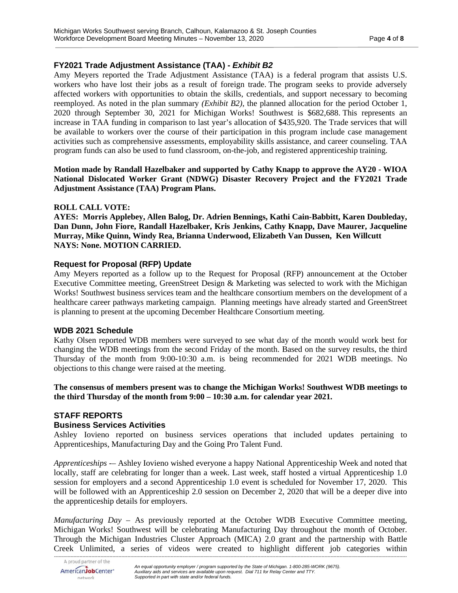# **FY2021 Trade Adjustment Assistance (TAA) -** *Exhibit B2*

Amy Meyers reported the Trade Adjustment Assistance (TAA) is a federal program that assists U.S. workers who have lost their jobs as a result of foreign trade. The program seeks to provide adversely affected workers with opportunities to obtain the skills, credentials, and support necessary to becoming reemployed. As noted in the plan summary *(Exhibit B2)*, the planned allocation for the period October 1, 2020 through September 30, 2021 for Michigan Works! Southwest is \$682,688. This represents an increase in TAA funding in comparison to last year's allocation of \$435,920. The Trade services that will be available to workers over the course of their participation in this program include case management activities such as comprehensive assessments, employability skills assistance, and career counseling. TAA program funds can also be used to fund classroom, on-the-job, and registered apprenticeship training.

**Motion made by Randall Hazelbaker and supported by Cathy Knapp to approve the AY20 - WIOA National Dislocated Worker Grant (NDWG) Disaster Recovery Project and the FY2021 Trade Adjustment Assistance (TAA) Program Plans.**

#### **ROLL CALL VOTE:**

**AYES: Morris Applebey, Allen Balog, Dr. Adrien Bennings, Kathi Cain-Babbitt, Karen Doubleday, Dan Dunn, John Fiore, Randall Hazelbaker, Kris Jenkins, Cathy Knapp, Dave Maurer, Jacqueline Murray, Mike Quinn, Windy Rea, Brianna Underwood, Elizabeth Van Dussen, Ken Willcutt NAYS: None. MOTION CARRIED.**

# **Request for Proposal (RFP) Update**

Amy Meyers reported as a follow up to the Request for Proposal (RFP) announcement at the October Executive Committee meeting, GreenStreet Design & Marketing was selected to work with the Michigan Works! Southwest business services team and the healthcare consortium members on the development of a healthcare career pathways marketing campaign. Planning meetings have already started and GreenStreet is planning to present at the upcoming December Healthcare Consortium meeting.

#### **WDB 2021 Schedule**

Kathy Olsen reported WDB members were surveyed to see what day of the month would work best for changing the WDB meetings from the second Friday of the month. Based on the survey results, the third Thursday of the month from 9:00-10:30 a.m. is being recommended for 2021 WDB meetings. No objections to this change were raised at the meeting.

**The consensus of members present was to change the Michigan Works! Southwest WDB meetings to the third Thursday of the month from 9:00 – 10:30 a.m. for calendar year 2021.**

# **STAFF REPORTS**

# **Business Services Activities**

Ashley Iovieno reported on business services operations that included updates pertaining to Apprenticeships, Manufacturing Day and the Going Pro Talent Fund.

*Apprenticeships -–* Ashley Iovieno wished everyone a happy National Apprenticeship Week and noted that locally, staff are celebrating for longer than a week. Last week, staff hosted a virtual Apprenticeship 1.0 session for employers and a second Apprenticeship 1.0 event is scheduled for November 17, 2020. This will be followed with an Apprenticeship 2.0 session on December 2, 2020 that will be a deeper dive into the apprenticeship details for employers.

*Manufacturing Day* – As previously reported at the October WDB Executive Committee meeting, Michigan Works! Southwest will be celebrating Manufacturing Day throughout the month of October. Through the Michigan Industries Cluster Approach (MICA) 2.0 grant and the partnership with Battle Creek Unlimited, a series of videos were created to highlight different job categories within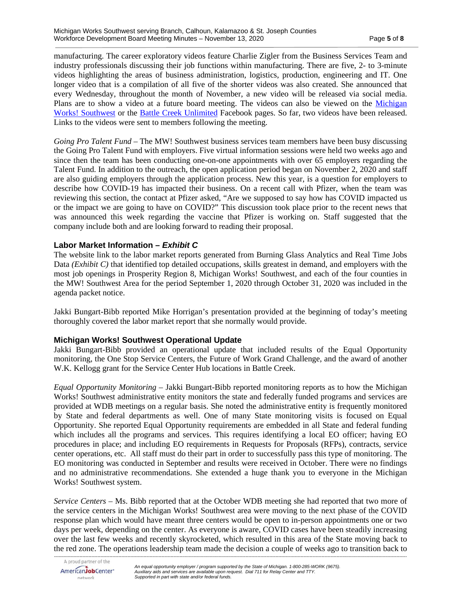manufacturing. The career exploratory videos feature Charlie Zigler from the Business Services Team and industry professionals discussing their job functions within manufacturing. There are five, 2- to 3-minute videos highlighting the areas of business administration, logistics, production, engineering and IT. One longer video that is a compilation of all five of the shorter videos was also created. She announced that every Wednesday, throughout the month of November, a new video will be released via social media. Plans are to show a video at a future board meeting. The videos can also be viewed on the [Michigan](https://www.facebook.com/MiWorksSW/)  [Works! Southwest](https://www.facebook.com/MiWorksSW/) or the [Battle Creek Unlimited](https://www.facebook.com/BattleCreekUnlimited/) Facebook pages. So far, two videos have been released. Links to the videos were sent to members following the meeting.

*Going Pro Talent Fund* – The MW! Southwest business services team members have been busy discussing the Going Pro Talent Fund with employers. Five virtual information sessions were held two weeks ago and since then the team has been conducting one-on-one appointments with over 65 employers regarding the Talent Fund. In addition to the outreach, the open application period began on November 2, 2020 and staff are also guiding employers through the application process. New this year, is a question for employers to describe how COVID-19 has impacted their business. On a recent call with Pfizer, when the team was reviewing this section, the contact at Pfizer asked, "Are we supposed to say how has COVID impacted us or the impact we are going to have on COVID?" This discussion took place prior to the recent news that was announced this week regarding the vaccine that Pfizer is working on. Staff suggested that the company include both and are looking forward to reading their proposal.

# **Labor Market Information –** *Exhibit C*

The website link to the labor market reports generated from Burning Glass Analytics and Real Time Jobs Data *(Exhibit C)* that identified top detailed occupations, skills greatest in demand, and employers with the most job openings in Prosperity Region 8, Michigan Works! Southwest, and each of the four counties in the MW! Southwest Area for the period September 1, 2020 through October 31, 2020 was included in the agenda packet notice.

Jakki Bungart-Bibb reported Mike Horrigan's presentation provided at the beginning of today's meeting thoroughly covered the labor market report that she normally would provide.

#### **Michigan Works! Southwest Operational Update**

Jakki Bungart-Bibb provided an operational update that included results of the Equal Opportunity monitoring, the One Stop Service Centers, the Future of Work Grand Challenge, and the award of another W.K. Kellogg grant for the Service Center Hub locations in Battle Creek.

*Equal Opportunity Monitoring* – Jakki Bungart-Bibb reported monitoring reports as to how the Michigan Works! Southwest administrative entity monitors the state and federally funded programs and services are provided at WDB meetings on a regular basis. She noted the administrative entity is frequently monitored by State and federal departments as well. One of many State monitoring visits is focused on Equal Opportunity. She reported Equal Opportunity requirements are embedded in all State and federal funding which includes all the programs and services. This requires identifying a local EO officer; having EO procedures in place; and including EO requirements in Requests for Proposals (RFPs), contracts, service center operations, etc. All staff must do their part in order to successfully pass this type of monitoring. The EO monitoring was conducted in September and results were received in October. There were no findings and no administrative recommendations. She extended a huge thank you to everyone in the Michigan Works! Southwest system.

*Service Centers* – Ms. Bibb reported that at the October WDB meeting she had reported that two more of the service centers in the Michigan Works! Southwest area were moving to the next phase of the COVID response plan which would have meant three centers would be open to in-person appointments one or two days per week, depending on the center. As everyone is aware, COVID cases have been steadily increasing over the last few weeks and recently skyrocketed, which resulted in this area of the State moving back to the red zone. The operations leadership team made the decision a couple of weeks ago to transition back to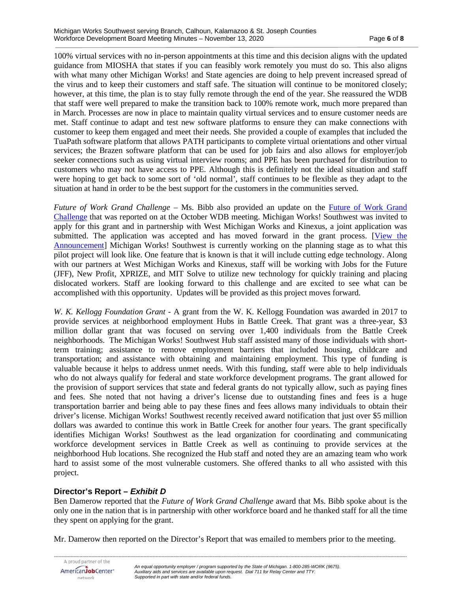100% virtual services with no in-person appointments at this time and this decision aligns with the updated guidance from MIOSHA that states if you can feasibly work remotely you must do so. This also aligns with what many other Michigan Works! and State agencies are doing to help prevent increased spread of the virus and to keep their customers and staff safe. The situation will continue to be monitored closely; however, at this time, the plan is to stay fully remote through the end of the year. She reassured the WDB that staff were well prepared to make the transition back to 100% remote work, much more prepared than in March. Processes are now in place to maintain quality virtual services and to ensure customer needs are met. Staff continue to adapt and test new software platforms to ensure they can make connections with customer to keep them engaged and meet their needs. She provided a couple of examples that included the TuaPath software platform that allows PATH participants to complete virtual orientations and other virtual services; the Brazen software platform that can be used for job fairs and also allows for employer/job seeker connections such as using virtual interview rooms; and PPE has been purchased for distribution to customers who may not have access to PPE. Although this is definitely not the ideal situation and staff were hoping to get back to some sort of 'old normal', staff continues to be flexible as they adapt to the situation at hand in order to be the best support for the customers in the communities served.

*Future of Work Grand Challenge* – Ms. Bibb also provided an update on the [Future of Work Grand](https://www.newprofit.org/future-of-work/)  [Challenge](https://www.newprofit.org/future-of-work/) that was reported on at the October WDB meeting. Michigan Works! Southwest was invited to apply for this grant and in partnership with West Michigan Works and Kinexus, a joint application was submitted. The application was accepted and has moved forward in the grant process. [\[View the](https://www.jff.org/what-we-do/impact-stories/future-work-grand-challenge/workforce-boards-six-states-selected-national-partnerships-help-get-americans-back-work/)  [Announcement\]](https://www.jff.org/what-we-do/impact-stories/future-work-grand-challenge/workforce-boards-six-states-selected-national-partnerships-help-get-americans-back-work/) Michigan Works! Southwest is currently working on the planning stage as to what this pilot project will look like. One feature that is known is that it will include cutting edge technology. Along with our partners at West Michigan Works and Kinexus, staff will be working with Jobs for the Future (JFF), New Profit, XPRIZE, and MIT Solve to utilize new technology for quickly training and placing dislocated workers. Staff are looking forward to this challenge and are excited to see what can be accomplished with this opportunity. Updates will be provided as this project moves forward.

*W. K. Kellogg Foundation Grant* - A grant from the W. K. Kellogg Foundation was awarded in 2017 to provide services at neighborhood employment Hubs in Battle Creek. That grant was a three-year, \$3 million dollar grant that was focused on serving over 1,400 individuals from the Battle Creek neighborhoods. The Michigan Works! Southwest Hub staff assisted many of those individuals with shortterm training; assistance to remove employment barriers that included housing, childcare and transportation; and assistance with obtaining and maintaining employment. This type of funding is valuable because it helps to address unmet needs. With this funding, staff were able to help individuals who do not always qualify for federal and state workforce development programs. The grant allowed for the provision of support services that state and federal grants do not typically allow, such as paying fines and fees. She noted that not having a driver's license due to outstanding fines and fees is a huge transportation barrier and being able to pay these fines and fees allows many individuals to obtain their driver's license. Michigan Works! Southwest recently received award notification that just over \$5 million dollars was awarded to continue this work in Battle Creek for another four years. The grant specifically identifies Michigan Works! Southwest as the lead organization for coordinating and communicating workforce development services in Battle Creek as well as continuing to provide services at the neighborhood Hub locations. She recognized the Hub staff and noted they are an amazing team who work hard to assist some of the most vulnerable customers. She offered thanks to all who assisted with this project.

# **Director's Report –** *Exhibit D*

Ben Damerow reported that the *Future of Work Grand Challenge* award that Ms. Bibb spoke about is the only one in the nation that is in partnership with other workforce board and he thanked staff for all the time they spent on applying for the grant.

Mr. Damerow then reported on the Director's Report that was emailed to members prior to the meeting.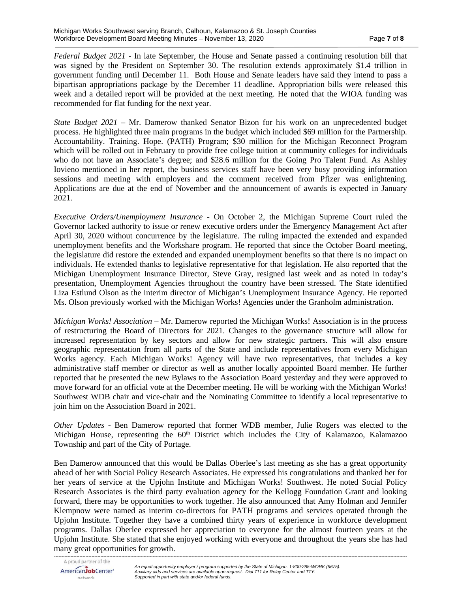*Federal Budget 2021* - In late September, the House and Senate passed a continuing resolution bill that was signed by the President on September 30. The resolution extends approximately \$1.4 trillion in government funding until December 11. Both House and Senate leaders have said they intend to pass a bipartisan appropriations package by the December 11 deadline. Appropriation bills were released this week and a detailed report will be provided at the next meeting. He noted that the WIOA funding was recommended for flat funding for the next year.

*State Budget 2021* – Mr. Damerow thanked Senator Bizon for his work on an unprecedented budget process. He highlighted three main programs in the budget which included \$69 million for the Partnership. Accountability. Training. Hope. (PATH) Program; \$30 million for the Michigan Reconnect Program which will be rolled out in February to provide free college tuition at community colleges for individuals who do not have an Associate's degree; and \$28.6 million for the Going Pro Talent Fund. As Ashley Iovieno mentioned in her report, the business services staff have been very busy providing information sessions and meeting with employers and the comment received from Pfizer was enlightening. Applications are due at the end of November and the announcement of awards is expected in January 2021.

*Executive Orders/Unemployment Insurance* - On October 2, the Michigan Supreme Court ruled the Governor lacked authority to issue or renew executive orders under the Emergency Management Act after April 30, 2020 without concurrence by the legislature. The ruling impacted the extended and expanded unemployment benefits and the Workshare program. He reported that since the October Board meeting, the legislature did restore the extended and expanded unemployment benefits so that there is no impact on individuals. He extended thanks to legislative representative for that legislation. He also reported that the Michigan Unemployment Insurance Director, Steve Gray, resigned last week and as noted in today's presentation, Unemployment Agencies throughout the country have been stressed. The State identified Liza Estlund Olson as the interim director of Michigan's Unemployment Insurance Agency. He reported Ms. Olson previously worked with the Michigan Works! Agencies under the Granholm administration.

*Michigan Works! Association* – Mr. Damerow reported the Michigan Works! Association is in the process of restructuring the Board of Directors for 2021. Changes to the governance structure will allow for increased representation by key sectors and allow for new strategic partners. This will also ensure geographic representation from all parts of the State and include representatives from every Michigan Works agency. Each Michigan Works! Agency will have two representatives, that includes a key administrative staff member or director as well as another locally appointed Board member. He further reported that he presented the new Bylaws to the Association Board yesterday and they were approved to move forward for an official vote at the December meeting. He will be working with the Michigan Works! Southwest WDB chair and vice-chair and the Nominating Committee to identify a local representative to join him on the Association Board in 2021.

*Other Updates* - Ben Damerow reported that former WDB member, Julie Rogers was elected to the Michigan House, representing the  $60<sup>th</sup>$  District which includes the City of Kalamazoo, Kalamazoo Township and part of the City of Portage.

Ben Damerow announced that this would be Dallas Oberlee's last meeting as she has a great opportunity ahead of her with Social Policy Research Associates. He expressed his congratulations and thanked her for her years of service at the Upjohn Institute and Michigan Works! Southwest. He noted Social Policy Research Associates is the third party evaluation agency for the Kellogg Foundation Grant and looking forward, there may be opportunities to work together. He also announced that Amy Holman and Jennifer Klempnow were named as interim co-directors for PATH programs and services operated through the Upjohn Institute. Together they have a combined thirty years of experience in workforce development programs. Dallas Oberlee expressed her appreciation to everyone for the almost fourteen years at the Upjohn Institute. She stated that she enjoyed working with everyone and throughout the years she has had many great opportunities for growth.